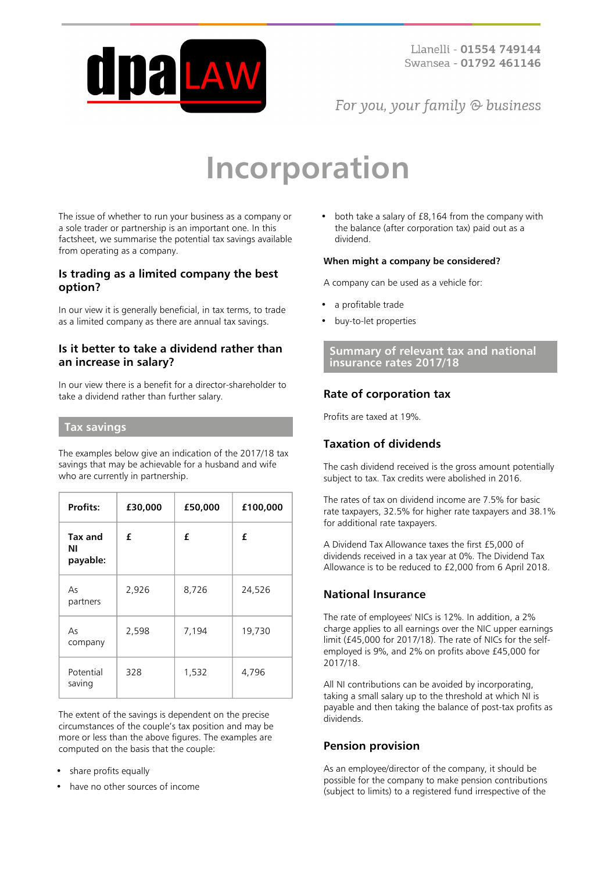

For you, your family  $\odot$  business

# **Incorporation**

The issue of whether to run your business as a company or a sole trader or partnership is an important one. In this factsheet, we summarise the potential tax savings available from operating as a company.

#### **Is trading as a limited company the best option?**

In our view it is generally beneficial, in tax terms, to trade as a limited company as there are annual tax savings.

## **Is it better to take a dividend rather than an increase in salary?**

In our view there is a benefit for a director-shareholder to take a dividend rather than further salary.

#### **Tax savings**

The examples below give an indication of the 2017/18 tax savings that may be achievable for a husband and wife who are currently in partnership.

| <b>Profits:</b>           | £30,000 | £50,000 | £100,000 |
|---------------------------|---------|---------|----------|
| Tax and<br>ΝI<br>payable: | £       | £       | £        |
| As<br>partners            | 2,926   | 8,726   | 24,526   |
| As<br>company             | 2,598   | 7,194   | 19,730   |
| Potential<br>saving       | 328     | 1,532   | 4,796    |

The extent of the savings is dependent on the precise circumstances of the couple's tax position and may be more or less than the above figures. The examples are computed on the basis that the couple:

- share profits equally
- have no other sources of income

both take a salary of £8,164 from the company with the balance (after corporation tax) paid out as a dividend.

#### **When might a company be considered?**

A company can be used as a vehicle for:

- a profitable trade
- buy-to-let properties

**Summary of relevant tax and national insurance rates 2017/18**

# **Rate of corporation tax**

Profits are taxed at 19%.

# **Taxation of dividends**

The cash dividend received is the gross amount potentially subject to tax. Tax credits were abolished in 2016.

The rates of tax on dividend income are 7.5% for basic rate taxpayers, 32.5% for higher rate taxpayers and 38.1% for additional rate taxpayers.

A Dividend Tax Allowance taxes the first £5,000 of dividends received in a tax year at 0%. The Dividend Tax Allowance is to be reduced to £2,000 from 6 April 2018.

## **National Insurance**

The rate of employees' NICs is 12%. In addition, a 2% charge applies to all earnings over the NIC upper earnings limit (£45,000 for 2017/18). The rate of NICs for the selfemployed is 9%, and 2% on profits above £45,000 for 2017/18.

All NI contributions can be avoided by incorporating, taking a small salary up to the threshold at which NI is payable and then taking the balance of post-tax profits as dividends.

#### **Pension provision**

As an employee/director of the company, it should be possible for the company to make pension contributions (subject to limits) to a registered fund irrespective of the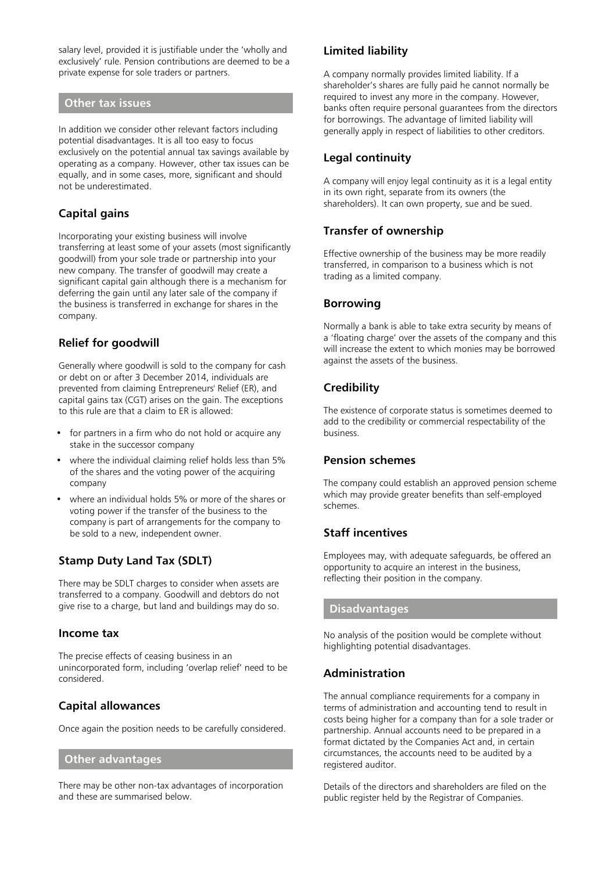salary level, provided it is justifiable under the 'wholly and exclusively' rule. Pension contributions are deemed to be a private expense for sole traders or partners.

#### **Other tax issues**

In addition we consider other relevant factors including potential disadvantages. It is all too easy to focus exclusively on the potential annual tax savings available by operating as a company. However, other tax issues can be equally, and in some cases, more, significant and should not be underestimated.

## **Capital gains**

Incorporating your existing business will involve transferring at least some of your assets (most significantly goodwill) from your sole trade or partnership into your new company. The transfer of goodwill may create a significant capital gain although there is a mechanism for deferring the gain until any later sale of the company if the business is transferred in exchange for shares in the company.

# **Relief for goodwill**

Generally where goodwill is sold to the company for cash or debt on or after 3 December 2014, individuals are prevented from claiming Entrepreneurs' Relief (ER), and capital gains tax (CGT) arises on the gain. The exceptions to this rule are that a claim to ER is allowed:

- for partners in a firm who do not hold or acquire any stake in the successor company
- where the individual claiming relief holds less than 5% of the shares and the voting power of the acquiring company
- where an individual holds 5% or more of the shares or voting power if the transfer of the business to the company is part of arrangements for the company to be sold to a new, independent owner.

## **Stamp Duty Land Tax (SDLT)**

There may be SDLT charges to consider when assets are transferred to a company. Goodwill and debtors do not give rise to a charge, but land and buildings may do so.

#### **Income tax**

The precise effects of ceasing business in an unincorporated form, including 'overlap relief' need to be considered.

## **Capital allowances**

Once again the position needs to be carefully considered.

#### **Other advantages**

There may be other non-tax advantages of incorporation and these are summarised below.

# **Limited liability**

A company normally provides limited liability. If a shareholder's shares are fully paid he cannot normally be required to invest any more in the company. However, banks often require personal guarantees from the directors for borrowings. The advantage of limited liability will generally apply in respect of liabilities to other creditors.

#### **Legal continuity**

A company will enjoy legal continuity as it is a legal entity in its own right, separate from its owners (the shareholders). It can own property, sue and be sued.

#### **Transfer of ownership**

Effective ownership of the business may be more readily transferred, in comparison to a business which is not trading as a limited company.

#### **Borrowing**

Normally a bank is able to take extra security by means of a 'floating charge' over the assets of the company and this will increase the extent to which monies may be borrowed against the assets of the business.

# **Credibility**

The existence of corporate status is sometimes deemed to add to the credibility or commercial respectability of the business.

## **Pension schemes**

The company could establish an approved pension scheme which may provide greater benefits than self-employed schemes.

## **Staff incentives**

Employees may, with adequate safeguards, be offered an opportunity to acquire an interest in the business, reflecting their position in the company.

## **Disadvantages**

No analysis of the position would be complete without highlighting potential disadvantages.

## **Administration**

The annual compliance requirements for a company in terms of administration and accounting tend to result in costs being higher for a company than for a sole trader or partnership. Annual accounts need to be prepared in a format dictated by the Companies Act and, in certain circumstances, the accounts need to be audited by a registered auditor.

Details of the directors and shareholders are filed on the public register held by the Registrar of Companies.